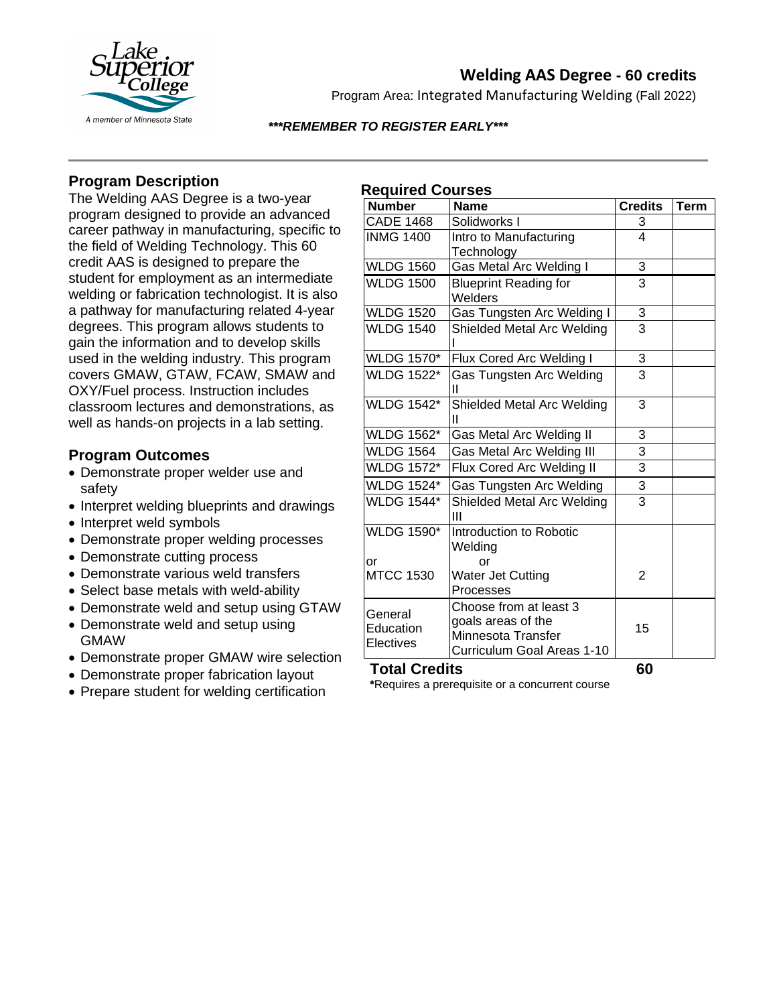

# **Welding AAS Degree - 60 credits**

Program Area: Integrated Manufacturing Welding (Fall 2022)

### *\*\*\*REMEMBER TO REGISTER EARLY\*\*\**

# **Program Description**

The Welding AAS Degree is a two-year program designed to provide an advanced career pathway in manufacturing, specific to the field of Welding Technology. This 60 credit AAS is designed to prepare the student for employment as an intermediate welding or fabrication technologist. It is also a pathway for manufacturing related 4-year degrees. This program allows students to gain the information and to develop skills used in the welding industry. This program covers GMAW, GTAW, FCAW, SMAW and OXY/Fuel process. Instruction includes classroom lectures and demonstrations, as well as hands-on projects in a lab setting.

## **Program Outcomes**

- Demonstrate proper welder use and safety
- Interpret welding blueprints and drawings
- Interpret weld symbols
- Demonstrate proper welding processes
- Demonstrate cutting process
- Demonstrate various weld transfers
- Select base metals with weld-ability
- Demonstrate weld and setup using GTAW
- Demonstrate weld and setup using GMAW
- Demonstrate proper GMAW wire selection
- Demonstrate proper fabrication layout
- Prepare student for welding certification

## **Required Courses**

| <b>Number</b>        | <b>Name</b>                  | <b>Credits</b> | <b>Term</b> |
|----------------------|------------------------------|----------------|-------------|
| <b>CADE 1468</b>     | Solidworks I                 | 3              |             |
| <b>INMG 1400</b>     | Intro to Manufacturing       | $\overline{4}$ |             |
|                      | Technology                   |                |             |
| <b>WLDG 1560</b>     | Gas Metal Arc Welding I      | 3              |             |
| <b>WLDG 1500</b>     | <b>Blueprint Reading for</b> | 3              |             |
|                      | Welders                      |                |             |
| <b>WLDG 1520</b>     | Gas Tungsten Arc Welding I   | 3              |             |
| <b>WLDG 1540</b>     | Shielded Metal Arc Welding   | $\overline{3}$ |             |
| <b>WLDG 1570*</b>    | Flux Cored Arc Welding I     | $\overline{3}$ |             |
| <b>WLDG 1522*</b>    | Gas Tungsten Arc Welding     | $\overline{3}$ |             |
|                      | Ш                            |                |             |
| <b>WLDG 1542*</b>    | Shielded Metal Arc Welding   | 3              |             |
|                      | Ш                            |                |             |
| <b>WLDG 1562*</b>    | Gas Metal Arc Welding II     | 3              |             |
| <b>WLDG 1564</b>     | Gas Metal Arc Welding III    | $\overline{3}$ |             |
| <b>WLDG 1572*</b>    | Flux Cored Arc Welding II    | 3              |             |
| <b>WLDG 1524*</b>    | Gas Tungsten Arc Welding     | $\overline{3}$ |             |
| <b>WLDG 1544*</b>    | Shielded Metal Arc Welding   | 3              |             |
|                      | Ш                            |                |             |
| <b>WLDG 1590*</b>    | Introduction to Robotic      |                |             |
|                      | Welding                      |                |             |
| or                   | or                           |                |             |
| <b>MTCC 1530</b>     | Water Jet Cutting            | 2              |             |
|                      | Processes                    |                |             |
| General<br>Education | Choose from at least 3       |                |             |
|                      | goals areas of the           | 15             |             |
| Electives            | Minnesota Transfer           |                |             |
|                      | Curriculum Goal Areas 1-10   |                |             |

## **Total Credits 60**

**\***Requires a prerequisite or a concurrent course